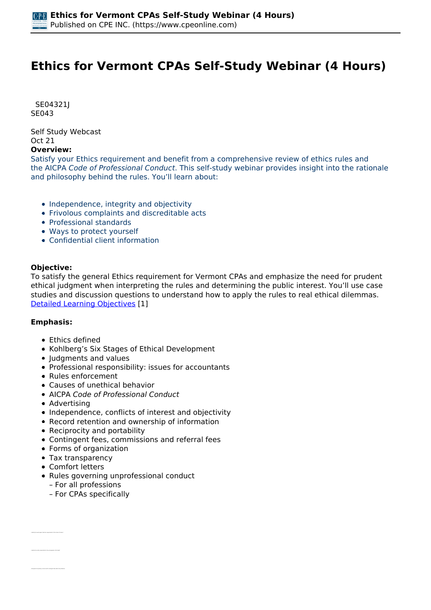# **Ethics for Vermont CPAs Self-Study Webinar (4 Hours)**

 *SE04321J SE043* 

*Self Study Webcast Oct 21* 

#### **Overview:**

*Satisfy your Ethics requirement and benefit from a comprehensive review of ethics rules and the AICPA Code of Professional Conduct. This self-study webinar provides insight into the rationale and philosophy behind the rules. You'll learn about:*

- *Independence, integrity and objectivity*
- *Frivolous complaints and discreditable acts*
- *Professional standards*
- *Ways to protect yourself*
- *Confidential client information*

### **Objective:**

*To satisfy the general Ethics requirement for Vermont CPAs and emphasize the need for prudent ethical judgment when interpreting the rules and determining the public interest. You'll use case studies and discussion questions to understand how to apply the rules to real ethical dilemmas. [Detailed Learning Objectives](https://www.cpeonline.com/JavaScript:showObjectivesPopup();) [1]*

### **Emphasis:**

- *Ethics defined*
- *Kohlberg's Six Stages of Ethical Development*
- *Judgments and values*
- *Professional responsibility: issues for accountants*
- *Rules enforcement*
- *Causes of unethical behavior*
- *AICPA Code of Professional Conduct*
- *Advertising*
- *Independence, conflicts of interest and objectivity*
- *Record retention and ownership of information*
- *Reciprocity and portability*
- *Contingent fees, commissions and referral fees*
- *Forms of organization*
- *Tax transparency*
- *Comfort letters*

*• Identify the work paper retention requirements of the Code of Conduct*

- *Rules governing unprofessional conduct*
	- *For all professions*
	- *For CPAs specifically*